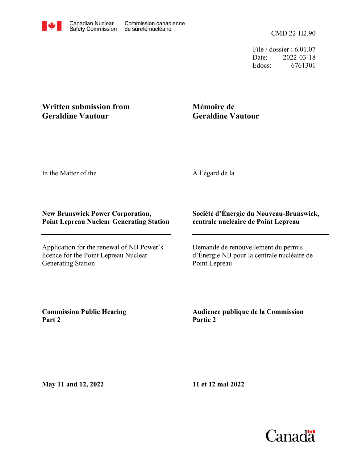CMD 22-H2.90

File / dossier : 6.01.07 Date: 2022-03-18 Edocs: 6761301

## **Written submission from Geraldine Vautour**

## **Mémoire de Geraldine Vautour**

In the Matter of the

À l'égard de la

## **New Brunswick Power Corporation, Point Lepreau Nuclear Generating Station**

Application for the renewal of NB Power's licence for the Point Lepreau Nuclear Generating Station

## **Société d'Énergie du Nouveau-Brunswick, centrale nucléaire de Point Lepreau**

Demande de renouvellement du permis d'Énergie NB pour la centrale nucléaire de Point Lepreau

**Commission Public Hearing Part 2**

**Audience publique de la Commission Partie 2**

**May 11 and 12, 2022**

**11 et 12 mai 2022**